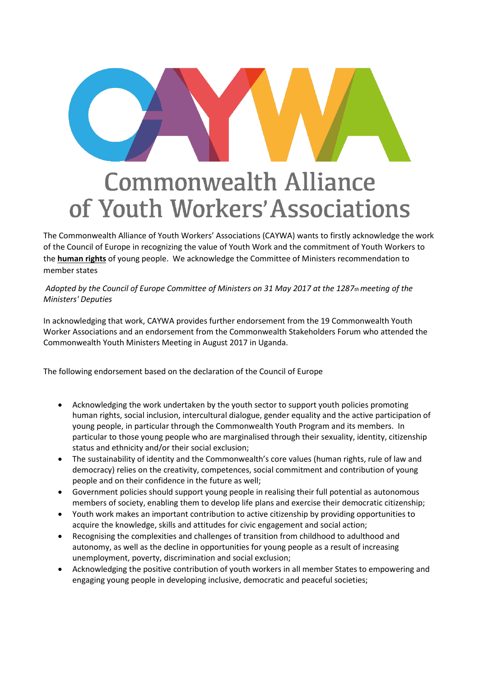## **Commonwealth Alliance** of Youth Workers' Associations

The Commonwealth Alliance of Youth Workers' Associations (CAYWA) wants to firstly acknowledge the work of the Council of Europe in recognizing the value of Youth Work and the commitment of Youth Workers to the **human rights** of young people. We acknowledge the Committee of Ministers recommendation to member states

*Adopted by the Council of Europe Committee of Ministers on 31 May 2017 at the 1287th meeting of the Ministers' Deputies* 

In acknowledging that work, CAYWA provides further endorsement from the 19 Commonwealth Youth Worker Associations and an endorsement from the Commonwealth Stakeholders Forum who attended the Commonwealth Youth Ministers Meeting in August 2017 in Uganda.

The following endorsement based on the declaration of the Council of Europe

- Acknowledging the work undertaken by the youth sector to support youth policies promoting human rights, social inclusion, intercultural dialogue, gender equality and the active participation of young people, in particular through the Commonwealth Youth Program and its members. In particular to those young people who are marginalised through their sexuality, identity, citizenship status and ethnicity and/or their social exclusion;
- The sustainability of identity and the Commonwealth's core values (human rights, rule of law and democracy) relies on the creativity, competences, social commitment and contribution of young people and on their confidence in the future as well;
- Government policies should support young people in realising their full potential as autonomous members of society, enabling them to develop life plans and exercise their democratic citizenship;
- Youth work makes an important contribution to active citizenship by providing opportunities to acquire the knowledge, skills and attitudes for civic engagement and social action;
- Recognising the complexities and challenges of transition from childhood to adulthood and autonomy, as well as the decline in opportunities for young people as a result of increasing unemployment, poverty, discrimination and social exclusion;
- Acknowledging the positive contribution of youth workers in all member States to empowering and engaging young people in developing inclusive, democratic and peaceful societies;